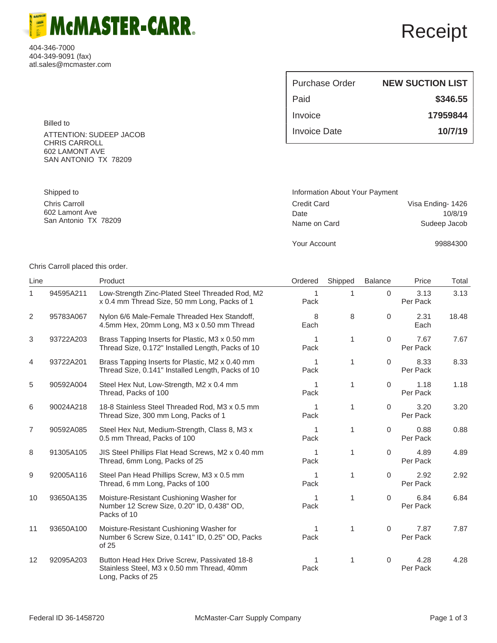404-346-7000 404-349-9091 (fax) atl.sales@mcmaster.com

> Billed to ATTENTION: SUDEEP JACOB CHRIS CARROLL 602 LAMONT AVE SAN ANTONIO TX 78209

**McMASTER-CARR.** 

| Purchase Order | <b>NEW SUCTION LIST</b> |
|----------------|-------------------------|
| Paid           | \$346.55                |
| Invoice        | 17959844                |
| Invoice Date   | 10/7/19                 |

| Information About Your Payment |                   |
|--------------------------------|-------------------|
| <b>Credit Card</b>             | Visa Ending- 1426 |
| Date                           | 10/8/19           |
| Name on Card                   | Sudeep Jacob      |
|                                |                   |

Your Account 99884300

Chris Carroll placed this order.

Shipped to Chris Carroll 602 Lamont Ave San Antonio TX 78209

| Line           |           | Product                                                                                                         | Ordered   | Shipped | <b>Balance</b> | Price            | Total |
|----------------|-----------|-----------------------------------------------------------------------------------------------------------------|-----------|---------|----------------|------------------|-------|
| 1.             | 94595A211 | Low-Strength Zinc-Plated Steel Threaded Rod, M2<br>x 0.4 mm Thread Size, 50 mm Long, Packs of 1                 | 1<br>Pack | 1       | 0              | 3.13<br>Per Pack | 3.13  |
| 2              | 95783A067 | Nylon 6/6 Male-Female Threaded Hex Standoff,<br>4.5mm Hex, 20mm Long, M3 x 0.50 mm Thread                       | 8<br>Each | 8       | 0              | 2.31<br>Each     | 18.48 |
| 3              | 93722A203 | Brass Tapping Inserts for Plastic, M3 x 0.50 mm<br>Thread Size, 0.172" Installed Length, Packs of 10            | 1<br>Pack | 1       | 0              | 7.67<br>Per Pack | 7.67  |
| 4              | 93722A201 | Brass Tapping Inserts for Plastic, M2 x 0.40 mm<br>Thread Size, 0.141" Installed Length, Packs of 10            | 1<br>Pack | 1       | $\mathbf 0$    | 8.33<br>Per Pack | 8.33  |
| 5              | 90592A004 | Steel Hex Nut, Low-Strength, M2 x 0.4 mm<br>Thread, Packs of 100                                                | 1<br>Pack | 1       | $\Omega$       | 1.18<br>Per Pack | 1.18  |
| 6              | 90024A218 | 18-8 Stainless Steel Threaded Rod, M3 x 0.5 mm<br>Thread Size, 300 mm Long, Packs of 1                          | 1<br>Pack | 1       | 0              | 3.20<br>Per Pack | 3.20  |
| $\overline{7}$ | 90592A085 | Steel Hex Nut, Medium-Strength, Class 8, M3 x<br>0.5 mm Thread, Packs of 100                                    | 1<br>Pack | 1       | 0              | 0.88<br>Per Pack | 0.88  |
| 8              | 91305A105 | JIS Steel Phillips Flat Head Screws, M2 x 0.40 mm<br>Thread, 6mm Long, Packs of 25                              | Pack      | 1       | 0              | 4.89<br>Per Pack | 4.89  |
| 9              | 92005A116 | Steel Pan Head Phillips Screw, M3 x 0.5 mm<br>Thread, 6 mm Long, Packs of 100                                   | 1<br>Pack | 1       | $\Omega$       | 2.92<br>Per Pack | 2.92  |
| 10             | 93650A135 | Moisture-Resistant Cushioning Washer for<br>Number 12 Screw Size, 0.20" ID, 0.438" OD,<br>Packs of 10           | 1<br>Pack | 1       | $\Omega$       | 6.84<br>Per Pack | 6.84  |
| 11             | 93650A100 | Moisture-Resistant Cushioning Washer for<br>Number 6 Screw Size, 0.141" ID, 0.25" OD, Packs<br>of 25            | Pack      | 1       | 0              | 7.87<br>Per Pack | 7.87  |
| 12             | 92095A203 | Button Head Hex Drive Screw, Passivated 18-8<br>Stainless Steel, M3 x 0.50 mm Thread, 40mm<br>Long, Packs of 25 | Pack      | 1       | 0              | 4.28<br>Per Pack | 4.28  |

## Receipt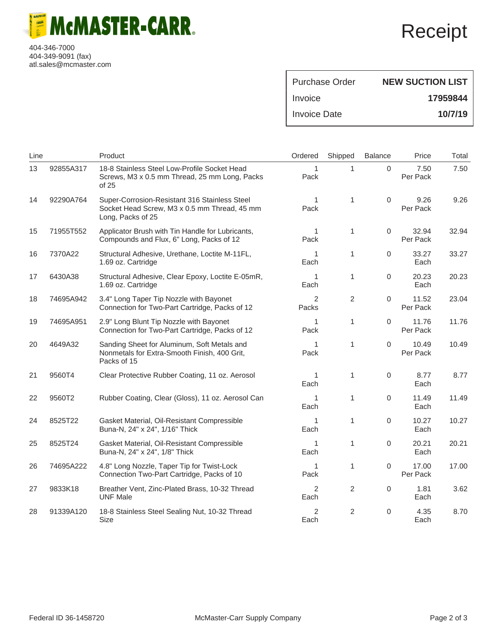**McMASTER-CARR. CATALOG** 

404-346-7000 404-349-9091 (fax) atl.sales@mcmaster.com

## Receipt

| Purchase Order | <b>NEW SUCTION LIST</b> |
|----------------|-------------------------|
| Invoice        | 17959844                |
| Invoice Date   | 10/7/19                 |

| Line |           | Product                                                                                                            | Ordered                | Shipped | <b>Balance</b>      | Price             | Total |
|------|-----------|--------------------------------------------------------------------------------------------------------------------|------------------------|---------|---------------------|-------------------|-------|
| 13   | 92855A317 | 18-8 Stainless Steel Low-Profile Socket Head<br>Screws, M3 x 0.5 mm Thread, 25 mm Long, Packs<br>of 25             | $\mathbf{1}$<br>Pack   | 1       | $\Omega$            | 7.50<br>Per Pack  | 7.50  |
| 14   | 92290A764 | Super-Corrosion-Resistant 316 Stainless Steel<br>Socket Head Screw, M3 x 0.5 mm Thread, 45 mm<br>Long, Packs of 25 | 1<br>Pack              | 1       | 0                   | 9.26<br>Per Pack  | 9.26  |
| 15   | 71955T552 | Applicator Brush with Tin Handle for Lubricants,<br>Compounds and Flux, 6" Long, Packs of 12                       | 1<br>Pack              | 1       | 0                   | 32.94<br>Per Pack | 32.94 |
| 16   | 7370A22   | Structural Adhesive, Urethane, Loctite M-11FL,<br>1.69 oz. Cartridge                                               | 1<br>Each              | 1       | $\mathbf 0$         | 33.27<br>Each     | 33.27 |
| 17   | 6430A38   | Structural Adhesive, Clear Epoxy, Loctite E-05mR,<br>1.69 oz. Cartridge                                            | 1<br>Each              | 1       | 0                   | 20.23<br>Each     | 20.23 |
| 18   | 74695A942 | 3.4" Long Taper Tip Nozzle with Bayonet<br>Connection for Two-Part Cartridge, Packs of 12                          | $\mathcal{P}$<br>Packs | 2       | 0                   | 11.52<br>Per Pack | 23.04 |
| 19   | 74695A951 | 2.9" Long Blunt Tip Nozzle with Bayonet<br>Connection for Two-Part Cartridge, Packs of 12                          | 1<br>Pack              | 1       | 0                   | 11.76<br>Per Pack | 11.76 |
| 20   | 4649A32   | Sanding Sheet for Aluminum, Soft Metals and<br>Nonmetals for Extra-Smooth Finish, 400 Grit,<br>Packs of 15         | 1<br>Pack              | 1       | $\Omega$            | 10.49<br>Per Pack | 10.49 |
| 21   | 9560T4    | Clear Protective Rubber Coating, 11 oz. Aerosol                                                                    | 1<br>Each              | 1       | $\mathsf{O}\xspace$ | 8.77<br>Each      | 8.77  |
| 22   | 9560T2    | Rubber Coating, Clear (Gloss), 11 oz. Aerosol Can                                                                  | 1<br>Each              | 1       | $\mathbf 0$         | 11.49<br>Each     | 11.49 |
| 24   | 8525T22   | Gasket Material, Oil-Resistant Compressible<br>Buna-N, 24" x 24", 1/16" Thick                                      | 1<br>Each              | 1       | $\boldsymbol{0}$    | 10.27<br>Each     | 10.27 |
| 25   | 8525T24   | Gasket Material, Oil-Resistant Compressible<br>Buna-N, 24" x 24", 1/8" Thick                                       | 1<br>Each              | 1       | 0                   | 20.21<br>Each     | 20.21 |
| 26   | 74695A222 | 4.8" Long Nozzle, Taper Tip for Twist-Lock<br>Connection Two-Part Cartridge, Packs of 10                           | 1<br>Pack              | 1       | 0                   | 17.00<br>Per Pack | 17.00 |
| 27   | 9833K18   | Breather Vent, Zinc-Plated Brass, 10-32 Thread<br><b>UNF Male</b>                                                  | 2<br>Each              | 2       | 0                   | 1.81<br>Each      | 3.62  |
| 28   | 91339A120 | 18-8 Stainless Steel Sealing Nut, 10-32 Thread<br><b>Size</b>                                                      | 2<br>Each              | 2       | 0                   | 4.35<br>Each      | 8.70  |